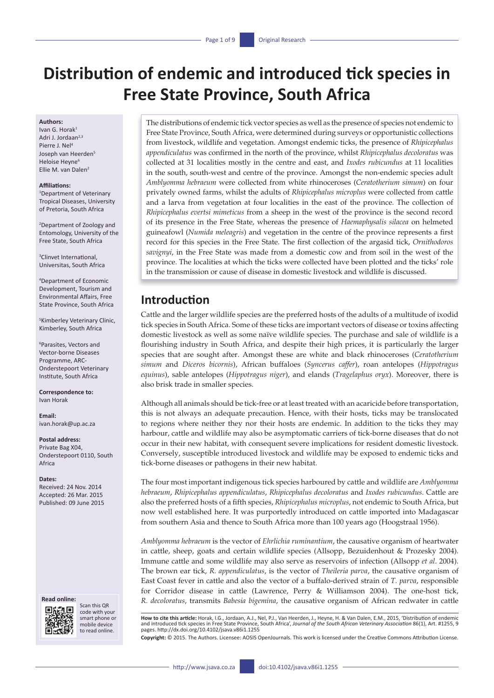# **Distribution of endemic and introduced tick species in Free State Province, South Africa**

#### **Authors:**

Ivan G. Horak1 Adri J. Jordaan<sup>2,3</sup> Pierre J. Nel4 Joseph van Heerden<sup>5</sup> Heloise Heyne<sup>6</sup> Ellie M. van Dalen<sup>2</sup>

#### **Affiliations:**

1 Department of Veterinary Tropical Diseases, University of Pretoria, South Africa

2 Department of Zoology and Entomology, University of the Free State, South Africa

3 Clinvet International, Universitas, South Africa

4 Department of Economic Development, Tourism and Environmental Affairs, Free State Province, South Africa

5 Kimberley Veterinary Clinic, Kimberley, South Africa

6 Parasites, Vectors and Vector-borne Diseases Programme, ARC-Onderstepoort Veterinary Institute, South Africa

**Correspondence to:** Ivan Horak

**Email:** [ivan.horak@up.ac.za](mailto:ivan.horak@up.ac.za)

#### **Postal address:**

Private Bag X04, Onderstepoort 0110, South Africa

#### **Dates:**

Received: 24 Nov. 2014 Accepted: 26 Mar. 2015 Published: 09 June 2015

#### **Read online:**



Scan this QR code with your smart phone or mobile device to read online.

The distributions of endemic tick vector species as well as the presence of species not endemic to Free State Province, South Africa, were determined during surveys or opportunistic collections from livestock, wildlife and vegetation. Amongst endemic ticks, the presence of *Rhipicephalus appendiculatus* was confirmed in the north of the province, whilst *Rhipicephalus decoloratus* was collected at 31 localities mostly in the centre and east, and *Ixodes rubicundus* at 11 localities in the south, south-west and centre of the province. Amongst the non-endemic species adult *Amblyomma hebraeum* were collected from white rhinoceroses (*Ceratotherium simum*) on four privately owned farms, whilst the adults of *Rhipicephalus microplus* were collected from cattle and a larva from vegetation at four localities in the east of the province. The collection of *Rhipicephalus evertsi mimeticus* from a sheep in the west of the province is the second record of its presence in the Free State, whereas the presence of *Haemaphysalis silacea* on helmeted guineafowl (*Numida meleagris*) and vegetation in the centre of the province represents a first record for this species in the Free State. The first collection of the argasid tick, *Ornithodoros savignyi*, in the Free State was made from a domestic cow and from soil in the west of the province. The localities at which the ticks were collected have been plotted and the ticks' role in the transmission or cause of disease in domestic livestock and wildlife is discussed.

### **Introduction**

Cattle and the larger wildlife species are the preferred hosts of the adults of a multitude of ixodid tick species in South Africa. Some of these ticks are important vectors of disease or toxins affecting domestic livestock as well as some naïve wildlife species. The purchase and sale of wildlife is a flourishing industry in South Africa, and despite their high prices, it is particularly the larger species that are sought after. Amongst these are white and black rhinoceroses (*Ceratotherium simum* and *Diceros bicornis*), African buffaloes (*Syncerus caffer*), roan antelopes (*Hippotragus equinus*), sable antelopes (*Hippotragus niger*), and elands (*Tragelaphus oryx*). Moreover, there is also brisk trade in smaller species.

Although all animals should be tick-free or at least treated with an acaricide before transportation, this is not always an adequate precaution. Hence, with their hosts, ticks may be translocated to regions where neither they nor their hosts are endemic. In addition to the ticks they may harbour, cattle and wildlife may also be asymptomatic carriers of tick-borne diseases that do not occur in their new habitat, with consequent severe implications for resident domestic livestock. Conversely, susceptible introduced livestock and wildlife may be exposed to endemic ticks and tick-borne diseases or pathogens in their new habitat.

The four most important indigenous tick species harboured by cattle and wildlife are *Amblyomma hebraeum*, *Rhipicephalus appendiculatus*, *Rhipicephalus decoloratus* and *Ixodes rubicundus*. Cattle are also the preferred hosts of a fifth species, *Rhipicephalus microplus*, not endemic to South Africa, but now well established here. It was purportedly introduced on cattle imported into Madagascar from southern Asia and thence to South Africa more than 100 years ago (Hoogstraal 1956).

*Amblyomma hebraeum* is the vector of *Ehrlichia ruminantium*, the causative organism of heartwater in cattle, sheep, goats and certain wildlife species (Allsopp, Bezuidenhout & Prozesky 2004). Immune cattle and some wildlife may also serve as reservoirs of infection (Allsopp *et al*. 2004). The brown ear tick, *R. appendiculatus*, is the vector of *Theileria parva*, the causative organism of East Coast fever in cattle and also the vector of a buffalo-derived strain of *T. parva*, responsible for Corridor disease in cattle (Lawrence, Perry & Williamson 2004). The one-host tick, *R. decoloratus*, transmits *Babesia bigemina*, the causative organism of African redwater in cattle

**Copyright:** © 2015. The Authors. Licensee: AOSIS OpenJournals. This work is licensed under the Creative Commons Attribution License.

**How to cite this article:** Horak, I.G., Jordaan, A.J., Nel, P.J., Van Heerden, J., Heyne, H. & Van Dalen, E.M., 2015, 'Distribution of endemic and introduced tick species in Free State Province, South Africa', *Journal of the South African Veterinary Association* 86(1), Art. #1255, 9 pages. <http://dx.doi.org/10.4102/jsava.v86i1.1255>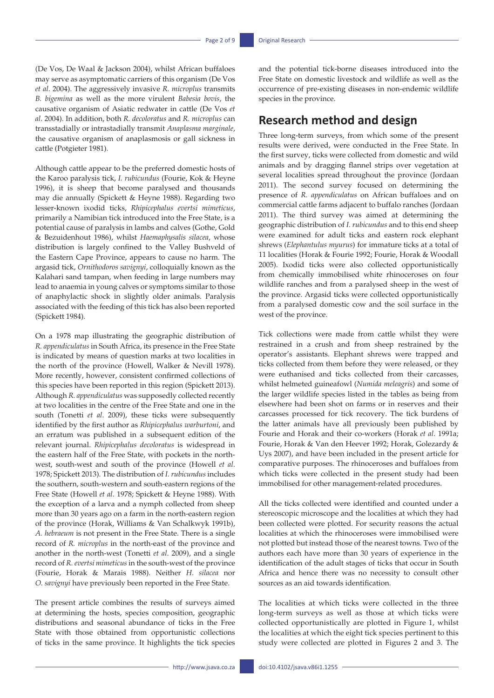(De Vos, De Waal & Jackson 2004), whilst African buffaloes may serve as asymptomatic carriers of this organism (De Vos *et al*. 2004). The aggressively invasive *R. microplus* transmits *B. bigemina* as well as the more virulent *Babesia bovis*, the causative organism of Asiatic redwater in cattle (De Vos *et al*. 2004). In addition, both *R. decoloratus* and *R. microplus* can transstadially or intrastadially transmit *Anaplasma marginale*, the causative organism of anaplasmosis or gall sickness in cattle (Potgieter 1981).

Although cattle appear to be the preferred domestic hosts of the Karoo paralysis tick, *I. rubicundus* (Fourie, Kok & Heyne 1996), it is sheep that become paralysed and thousands may die annually (Spickett & Heyne 1988). Regarding two lesser-known ixodid ticks, *Rhipicephalus evertsi mimeticus*, primarily a Namibian tick introduced into the Free State, is a potential cause of paralysis in lambs and calves (Gothe, Gold & Bezuidenhout 1986), whilst *Haemaphysalis silacea*, whose distribution is largely confined to the Valley Bushveld of the Eastern Cape Province, appears to cause no harm. The argasid tick, *Ornithodoros savignyi*, colloquially known as the Kalahari sand tampan, when feeding in large numbers may lead to anaemia in young calves or symptoms similar to those of anaphylactic shock in slightly older animals. Paralysis associated with the feeding of this tick has also been reported (Spickett 1984).

On a 1978 map illustrating the geographic distribution of *R. appendiculatus* in South Africa, its presence in the Free State is indicated by means of question marks at two localities in the north of the province (Howell, Walker & Nevill 1978). More recently, however, consistent confirmed collections of this species have been reported in this region (Spickett 2013). Although *R. appendiculatus* was supposedly collected recently at two localities in the centre of the Free State and one in the south (Tonetti *et al*. 2009), these ticks were subsequently identified by the first author as *Rhipicephalus warburtoni*, and an erratum was published in a subsequent edition of the relevant journal. *Rhipicephalus decoloratus* is widespread in the eastern half of the Free State, with pockets in the northwest, south-west and south of the province (Howell *et al*. 1978; Spickett 2013). The distribution of *I. rubicundus* includes the southern, south-western and south-eastern regions of the Free State (Howell *et al*. 1978; Spickett & Heyne 1988). With the exception of a larva and a nymph collected from sheep more than 30 years ago on a farm in the north-eastern region of the province (Horak, Williams & Van Schalkwyk 1991b), *A. hebraeum* is not present in the Free State. There is a single record of *R. microplus* in the north-east of the province and another in the north-west (Tonetti *et al*. 2009), and a single record of *R. evertsi mimeticus* in the south-west of the province (Fourie, Horak & Marais 1988). Neither *H. silacea* nor *O. savignyi* have previously been reported in the Free State.

The present article combines the results of surveys aimed at determining the hosts, species composition, geographic distributions and seasonal abundance of ticks in the Free State with those obtained from opportunistic collections of ticks in the same province. It highlights the tick species

and the potential tick-borne diseases introduced into the Free State on domestic livestock and wildlife as well as the occurrence of pre-existing diseases in non-endemic wildlife species in the province.

# **Research method and design**

Three long-term surveys, from which some of the present results were derived, were conducted in the Free State. In the first survey, ticks were collected from domestic and wild animals and by dragging flannel strips over vegetation at several localities spread throughout the province (Jordaan 2011). The second survey focused on determining the presence of *R. appendiculatus* on African buffaloes and on commercial cattle farms adjacent to buffalo ranches (Jordaan 2011). The third survey was aimed at determining the geographic distribution of *I. rubicundus* and to this end sheep were examined for adult ticks and eastern rock elephant shrews (*Elephantulus myurus*) for immature ticks at a total of 11 localities (Horak & Fourie 1992; Fourie, Horak & Woodall 2005). Ixodid ticks were also collected opportunistically from chemically immobilised white rhinoceroses on four wildlife ranches and from a paralysed sheep in the west of the province. Argasid ticks were collected opportunistically from a paralysed domestic cow and the soil surface in the west of the province.

Tick collections were made from cattle whilst they were restrained in a crush and from sheep restrained by the operator's assistants. Elephant shrews were trapped and ticks collected from them before they were released, or they were euthanised and ticks collected from their carcasses, whilst helmeted guineafowl (*Numida meleagris*) and some of the larger wildlife species listed in the tables as being from elsewhere had been shot on farms or in reserves and their carcasses processed for tick recovery. The tick burdens of the latter animals have all previously been published by Fourie and Horak and their co-workers (Horak *et al*. 1991a; Fourie, Horak & Van den Heever 1992; Horak, Golezardy & Uys 2007), and have been included in the present article for comparative purposes. The rhinoceroses and buffaloes from which ticks were collected in the present study had been immobilised for other management-related procedures.

All the ticks collected were identified and counted under a stereoscopic microscope and the localities at which they had been collected were plotted. For security reasons the actual localities at which the rhinoceroses were immobilised were not plotted but instead those of the nearest towns. Two of the authors each have more than 30 years of experience in the identification of the adult stages of ticks that occur in South Africa and hence there was no necessity to consult other sources as an aid towards identification.

The localities at which ticks were collected in the three long-term surveys as well as those at which ticks were collected opportunistically are plotted in Figure 1, whilst the localities at which the eight tick species pertinent to this study were collected are plotted in Figures 2 and 3. The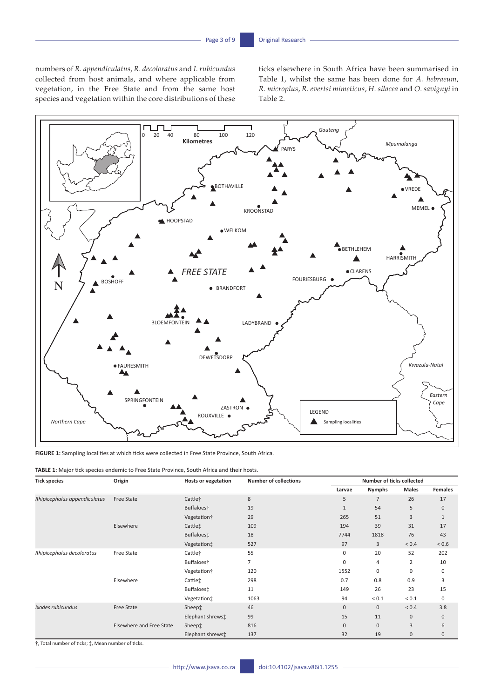numbers of *R. appendiculatus*, *R. decoloratus* and *I. rubicundus* collected from host animals, and where applicable from vegetation, in the Free State and from the same host species and vegetation within the core distributions of these

ticks elsewhere in South Africa have been summarised in Table 1, whilst the same has been done for *A. hebraeum*, *R. microplus*, *R. evertsi mimeticus*, *H. silacea* and *O. savignyi* in Table 2.



**FIGURE 1:** Sampling localities at which ticks were collected in Free State Province, South Africa.

|  | TABLE 1: Major tick species endemic to Free State Province, South Africa and their hosts. |
|--|-------------------------------------------------------------------------------------------|
|--|-------------------------------------------------------------------------------------------|

| <b>Tick species</b>          | Origin                   | Hosts or vegetation    | <b>Number of collections</b> |              | <b>Number of ticks collected</b> |              |                |  |
|------------------------------|--------------------------|------------------------|------------------------------|--------------|----------------------------------|--------------|----------------|--|
|                              |                          |                        |                              | Larvae       | <b>Nymphs</b>                    | <b>Males</b> | <b>Females</b> |  |
| Rhipicephalus appendiculatus | Free State               | Cattle <sup>†</sup>    | 8                            | 5            | 7                                | 26           | 17             |  |
|                              |                          | Buffaloes†             | 19                           | $\mathbf{1}$ | 54                               | 5            | 0              |  |
|                              |                          | Vegetation†            | 29                           | 265          | 51                               | 3            | $\mathbf{1}$   |  |
|                              | Elsewhere                | Cattle:                | 109                          | 194          | 39                               | 31           | 17             |  |
|                              |                          | Buffaloes:             | 18                           | 7744         | 1818                             | 76           | 43             |  |
|                              |                          | Vegetation:            | 527                          | 97           | 3                                | ${}_{0.4}$   | 0.6            |  |
| Rhipicephalus decoloratus    | <b>Free State</b>        | Cattle†                | 55                           | 0            | 20                               | 52           | 202            |  |
|                              |                          | Buffaloes <sup>+</sup> | 7                            | $\mathbf 0$  | 4                                | 2            | 10             |  |
|                              |                          | Vegetation†            | 120                          | 1552         | 0                                | $\mathbf 0$  | 0              |  |
|                              | Elsewhere                | Cattle <sup>+</sup>    | 298                          | 0.7          | 0.8                              | 0.9          | 3              |  |
|                              |                          | Buffaloes:             | 11                           | 149          | 26                               | 23           | 15             |  |
|                              |                          | Vegetation:            | 1063                         | 94           | ${}_{0.1}$                       | ${}_{0.1}$   | 0              |  |
| Ixodes rubicundus            | Free State               | Sheep:                 | 46                           | $\mathbf{0}$ | $\mathbf 0$                      | ${}_{0.4}$   | 3.8            |  |
|                              |                          | Elephant shrews:       | 99                           | 15           | 11                               | $\mathbf 0$  | 0              |  |
|                              | Elsewhere and Free State | Sheep:                 | 816                          | $\mathbf{0}$ | $\mathbf{0}$                     | 3            | 6              |  |
|                              |                          | Elephant shrews:       | 137                          | 32           | 19                               | $\mathbf 0$  | 0              |  |

†, Total number of ticks; ‡, Mean number of ticks.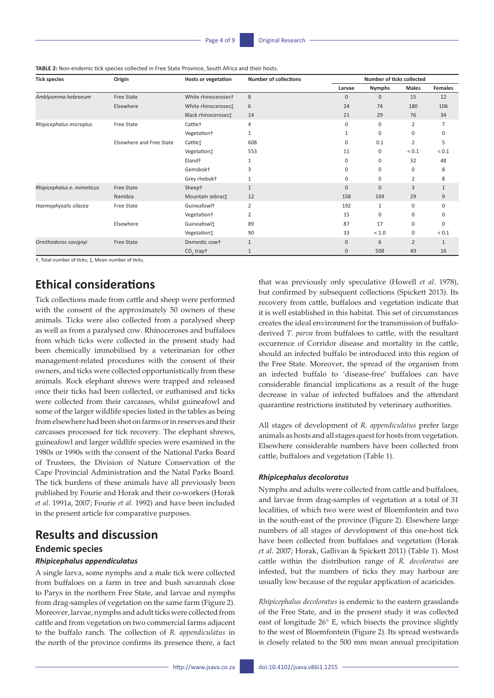**TABLE 2:** Non-endemic tick species collected in Free State Province, South Africa and their hosts.

| <b>Tick species</b>        | Origin                   | Hosts or vegetation     | <b>Number of collections</b> |              | Number of ticks collected |                |                |  |
|----------------------------|--------------------------|-------------------------|------------------------------|--------------|---------------------------|----------------|----------------|--|
|                            |                          |                         |                              | Larvae       | <b>Nymphs</b>             | <b>Males</b>   | <b>Females</b> |  |
| Amblyomma hebraeum         | <b>Free State</b>        | White rhinoceroses†     | 8                            | $\Omega$     | $\mathbf{0}$              | 15             | 12             |  |
|                            | Elsewhere                | White rhinoceroses:     | 6                            | 24           | 74                        | 180            | 106            |  |
|                            |                          | Black rhinoceroses:     | 14                           | 21           | 29                        | 76             | 34             |  |
| Rhipicephalus microplus    | <b>Free State</b>        | Cattle <sup>†</sup>     | 4                            | $\Omega$     | $\mathbf 0$               | 2              | 7              |  |
|                            |                          | Vegetation†             | 1                            |              | $\mathbf 0$               | 0              | 0              |  |
|                            | Elsewhere and Free State | Cattle <sup>*</sup>     | 608                          | 0            | 0.1                       | 2              | 5              |  |
|                            |                          | Vegetation:             | 553                          | 11           | 0                         | ${}_{0.1}$     | ${}_{0.1}$     |  |
|                            |                          | Eland <sup>+</sup>      | 1                            |              | 0                         | 32             | 48             |  |
|                            |                          | Gemsbok <sup>+</sup>    | 3                            | $\Omega$     | $\Omega$                  | $\Omega$       | 8              |  |
|                            |                          | Grey rhebokt            | 1                            |              | $\mathbf 0$               | 2              | 8              |  |
| Rhipicephalus e. mimeticus | <b>Free State</b>        | Sheep†                  | $\mathbf{1}$                 | $\Omega$     | $\mathbf{0}$              | 3              | $\mathbf{1}$   |  |
|                            | Namibia                  | Mountain zebras‡        | 12                           | 158          | 169                       | 29             | 9              |  |
| Haemaphysalis silacea      | Free State               | Guineafowl <sup>+</sup> | $\overline{2}$               | 192          | $\mathbf{1}$              | 0              | 0              |  |
|                            |                          | Vegetation†             | 2                            | 15           | $\mathbf 0$               | $\mathbf 0$    | $\Omega$       |  |
|                            | Elsewhere                | Guineafowl:             | 89                           | 87           | 17                        | 0              | 0              |  |
|                            |                          | Vegetation:             | 90                           | 33           | $<1.0$                    | 0              | ${}_{0.1}$     |  |
| Ornithodoros savignyi      | <b>Free State</b>        | Domestic cow†           | $\mathbf{1}$                 | $\Omega$     | 6                         | $\overline{2}$ | $\mathbf{1}$   |  |
|                            |                          | CO <sub>2</sub> trap†   | $\mathbf{1}$                 | $\mathbf{0}$ | 508                       | 49             | 16             |  |

**†**, Total number of ticks; **‡**, Mean number of ticks.

# **Ethical considerations**

Tick collections made from cattle and sheep were performed with the consent of the approximately 50 owners of these animals. Ticks were also collected from a paralysed sheep as well as from a paralysed cow. Rhinoceroses and buffaloes from which ticks were collected in the present study had been chemically immobilised by a veterinarian for other management-related procedures with the consent of their owners, and ticks were collected opportunistically from these animals. Rock elephant shrews were trapped and released once their ticks had been collected, or euthanised and ticks were collected from their carcasses, whilst guineafowl and some of the larger wildlife species listed in the tables as being from elsewhere had been shot on farms or in reserves and their carcasses processed for tick recovery. The elephant shrews, guineafowl and larger wildlife species were examined in the 1980s or 1990s with the consent of the National Parks Board of Trustees, the Division of Nature Conservation of the Cape Provincial Administration and the Natal Parks Board. The tick burdens of these animals have all previously been published by Fourie and Horak and their co-workers (Horak *et al*. 1991a, 2007; Fourie *et al*. 1992) and have been included in the present article for comparative purposes.

## **Results and discussion**

### **Endemic species**

### *Rhipicephalus appendiculatus*

A single larva, some nymphs and a male tick were collected from buffaloes on a farm in tree and bush savannah close to Parys in the northern Free State, and larvae and nymphs from drag-samples of vegetation on the same farm (Figure 2). Moreover, larvae, nymphs and adult ticks were collected from cattle and from vegetation on two commercial farms adjacent to the buffalo ranch. The collection of *R. appendiculatus* in the north of the province confirms its presence there, a fact

that was previously only speculative (Howell *et al*. 1978), but confirmed by subsequent collections (Spickett 2013). Its recovery from cattle, buffaloes and vegetation indicate that it is well established in this habitat. This set of circumstances creates the ideal environment for the transmission of buffaloderived *T. parva* from buffaloes to cattle, with the resultant occurrence of Corridor disease and mortality in the cattle, should an infected buffalo be introduced into this region of the Free State. Moreover, the spread of the organism from an infected buffalo to 'disease-free' buffaloes can have considerable financial implications as a result of the huge decrease in value of infected buffaloes and the attendant quarantine restrictions instituted by veterinary authorities.

All stages of development of *R. appendiculatus* prefer large animals as hosts and all stages quest for hosts from vegetation. Elsewhere considerable numbers have been collected from cattle, buffaloes and vegetation (Table 1).

#### *Rhipicephalus decoloratus*

Nymphs and adults were collected from cattle and buffaloes, and larvae from drag-samples of vegetation at a total of 31 localities, of which two were west of Bloemfontein and two in the south-east of the province (Figure 2). Elsewhere large numbers of all stages of development of this one-host tick have been collected from buffaloes and vegetation (Horak *et al*. 2007; Horak, Gallivan & Spickett 2011) (Table 1). Most cattle within the distribution range of *R. decoloratus* are infested, but the numbers of ticks they may harbour are usually low because of the regular application of acaricides.

*Rhipicephalus decoloratus* is endemic to the eastern grasslands of the Free State, and in the present study it was collected east of longitude 26° E, which bisects the province slightly to the west of Bloemfontein (Figure 2). Its spread westwards is closely related to the 500 mm mean annual precipitation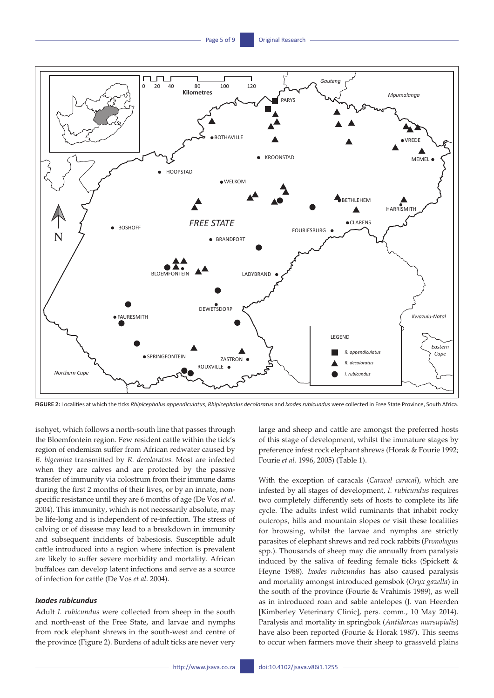

**FIGURE 2:** Localities at which the ticks *Rhipicephalus appendiculatus*, *Rhipicephalus decoloratus* and *Ixodes rubicundus* were collected in Free State Province, South Africa.

isohyet, which follows a north-south line that passes through the Bloemfontein region. Few resident cattle within the tick's region of endemism suffer from African redwater caused by *B. bigemina* transmitted by *R. decoloratus*. Most are infected when they are calves and are protected by the passive transfer of immunity via colostrum from their immune dams during the first 2 months of their lives, or by an innate, nonspecific resistance until they are 6 months of age (De Vos *et al*. 2004). This immunity, which is not necessarily absolute, may be life-long and is independent of re-infection. The stress of calving or of disease may lead to a breakdown in immunity and subsequent incidents of babesiosis. Susceptible adult cattle introduced into a region where infection is prevalent are likely to suffer severe morbidity and mortality. African buffaloes can develop latent infections and serve as a source of infection for cattle (De Vos *et al*. 2004).

#### *Ixodes rubicundus*

Adult *I. rubicundus* were collected from sheep in the south and north-east of the Free State, and larvae and nymphs from rock elephant shrews in the south-west and centre of the province (Figure 2). Burdens of adult ticks are never very

large and sheep and cattle are amongst the preferred hosts of this stage of development, whilst the immature stages by preference infest rock elephant shrews (Horak & Fourie 1992; Fourie *et al.* 1996, 2005) (Table 1).

With the exception of caracals (*Caracal caracal*), which are infested by all stages of development, *I. rubicundus* requires two completely differently sets of hosts to complete its life cycle. The adults infest wild ruminants that inhabit rocky outcrops, hills and mountain slopes or visit these localities for browsing, whilst the larvae and nymphs are strictly parasites of elephant shrews and red rock rabbits (*Pronolagus* spp.). Thousands of sheep may die annually from paralysis induced by the saliva of feeding female ticks (Spickett & Heyne 1988). *Ixodes rubicundus* has also caused paralysis and mortality amongst introduced gemsbok (*Oryx gazella*) in the south of the province (Fourie & Vrahimis 1989), as well as in introduced roan and sable antelopes (J. van Heerden [Kimberley Veterinary Clinic], pers. comm., 10 May 2014). Paralysis and mortality in springbok (*Antidorcas marsupialis*) have also been reported (Fourie & Horak 1987). This seems to occur when farmers move their sheep to grassveld plains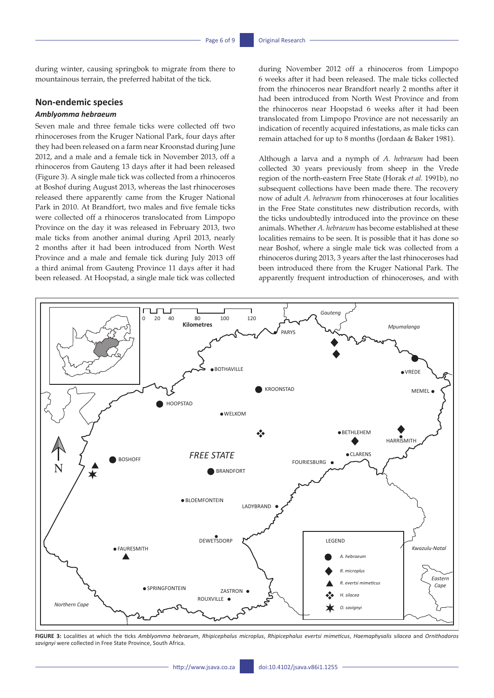during winter, causing springbok to migrate from there to mountainous terrain, the preferred habitat of the tick.

### **Non-endemic species**

### *Amblyomma hebraeum*

Seven male and three female ticks were collected off two rhinoceroses from the Kruger National Park, four days after they had been released on a farm near Kroonstad during June 2012, and a male and a female tick in November 2013, off a rhinoceros from Gauteng 13 days after it had been released (Figure 3). A single male tick was collected from a rhinoceros at Boshof during August 2013, whereas the last rhinoceroses released there apparently came from the Kruger National Park in 2010. At Brandfort, two males and five female ticks were collected off a rhinoceros translocated from Limpopo Province on the day it was released in February 2013, two male ticks from another animal during April 2013, nearly 2 months after it had been introduced from North West Province and a male and female tick during July 2013 off a third animal from Gauteng Province 11 days after it had been released. At Hoopstad, a single male tick was collected

during November 2012 off a rhinoceros from Limpopo 6 weeks after it had been released. The male ticks collected from the rhinoceros near Brandfort nearly 2 months after it had been introduced from North West Province and from the rhinoceros near Hoopstad 6 weeks after it had been translocated from Limpopo Province are not necessarily an indication of recently acquired infestations, as male ticks can remain attached for up to 8 months (Jordaan & Baker 1981).

Although a larva and a nymph of *A. hebraeum* had been collected 30 years previously from sheep in the Vrede region of the north-eastern Free State (Horak *et al.* 1991b), no subsequent collections have been made there. The recovery now of adult *A. hebraeum* from rhinoceroses at four localities in the Free State constitutes new distribution records, with the ticks undoubtedly introduced into the province on these animals. Whether *A. hebraeum* has become established at these localities remains to be seen. It is possible that it has done so near Boshof, where a single male tick was collected from a rhinoceros during 2013, 3 years after the last rhinoceroses had been introduced there from the Kruger National Park. The apparently frequent introduction of rhinoceroses, and with



**FIGURE 3:** Localities at which the ticks *Amblyomma hebraeum*, *Rhipicephalus microplus*, *Rhipicephalus evertsi mimeticus*, *Haemaphysalis silacea* and *Ornithodoros savignyi* were collected in Free State Province, South Africa.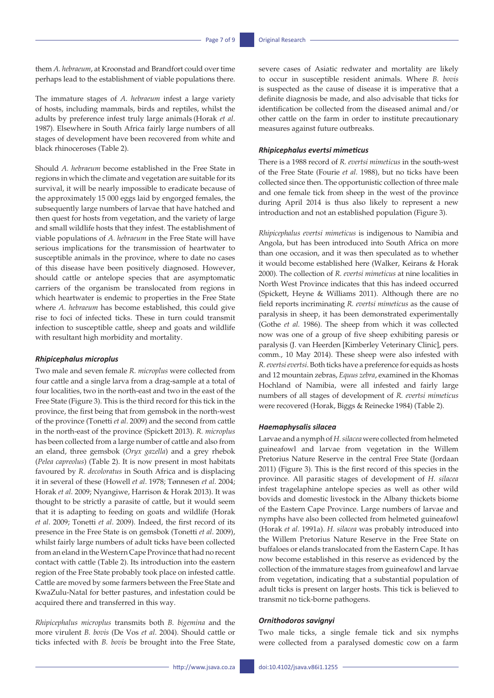them *A. hebraeum*, at Kroonstad and Brandfort could over time perhaps lead to the establishment of viable populations there.

The immature stages of *A. hebraeum* infest a large variety of hosts, including mammals, birds and reptiles, whilst the adults by preference infest truly large animals (Horak *et al*. 1987). Elsewhere in South Africa fairly large numbers of all stages of development have been recovered from white and black rhinoceroses (Table 2).

Should *A. hebraeum* become established in the Free State in regions in which the climate and vegetation are suitable for its survival, it will be nearly impossible to eradicate because of the approximately 15 000 eggs laid by engorged females, the subsequently large numbers of larvae that have hatched and then quest for hosts from vegetation, and the variety of large and small wildlife hosts that they infest. The establishment of viable populations of *A. hebraeum* in the Free State will have serious implications for the transmission of heartwater to susceptible animals in the province, where to date no cases of this disease have been positively diagnosed. However, should cattle or antelope species that are asymptomatic carriers of the organism be translocated from regions in which heartwater is endemic to properties in the Free State where *A. hebraeum* has become established, this could give rise to foci of infected ticks. These in turn could transmit infection to susceptible cattle, sheep and goats and wildlife with resultant high morbidity and mortality.

#### *Rhipicephalus microplus*

Two male and seven female *R. microplus* were collected from four cattle and a single larva from a drag-sample at a total of four localities, two in the north-east and two in the east of the Free State (Figure 3). This is the third record for this tick in the province, the first being that from gemsbok in the north-west of the province (Tonetti *et al*. 2009) and the second from cattle in the north-east of the province (Spickett 2013). *R. microplus* has been collected from a large number of cattle and also from an eland, three gemsbok (*Oryx gazella*) and a grey rhebok (*Pelea capreolus*) (Table 2). It is now present in most habitats favoured by *R. decoloratus* in South Africa and is displacing it in several of these (Howell *et al*. 1978; Tønnesen *et al*. 2004; Horak *et al*. 2009; Nyangiwe, Harrison & Horak 2013). It was thought to be strictly a parasite of cattle, but it would seem that it is adapting to feeding on goats and wildlife (Horak *et al*. 2009; Tonetti *et al*. 2009). Indeed, the first record of its presence in the Free State is on gemsbok (Tonetti *et al*. 2009), whilst fairly large numbers of adult ticks have been collected from an eland in the Western Cape Province that had no recent contact with cattle (Table 2). Its introduction into the eastern region of the Free State probably took place on infested cattle. Cattle are moved by some farmers between the Free State and KwaZulu-Natal for better pastures, and infestation could be acquired there and transferred in this way.

*Rhipicephalus microplus* transmits both *B. bigemina* and the more virulent *B. bovis* (De Vos *et al*. 2004). Should cattle or ticks infected with *B. bovis* be brought into the Free State, severe cases of Asiatic redwater and mortality are likely to occur in susceptible resident animals. Where *B. bovis* is suspected as the cause of disease it is imperative that a definite diagnosis be made, and also advisable that ticks for identification be collected from the diseased animal and/or other cattle on the farm in order to institute precautionary measures against future outbreaks.

#### *Rhipicephalus evertsi mimeticus*

There is a 1988 record of *R. evertsi mimeticus* in the south-west of the Free State (Fourie *et al.* 1988), but no ticks have been collected since then. The opportunistic collection of three male and one female tick from sheep in the west of the province during April 2014 is thus also likely to represent a new introduction and not an established population (Figure 3).

*Rhipicephalus evertsi mimeticus* is indigenous to Namibia and Angola, but has been introduced into South Africa on more than one occasion, and it was then speculated as to whether it would become established here (Walker, Keirans & Horak 2000). The collection of *R. evertsi mimeticus* at nine localities in North West Province indicates that this has indeed occurred (Spickett, Heyne & Williams 2011). Although there are no field reports incriminating *R. evertsi mimeticus* as the cause of paralysis in sheep, it has been demonstrated experimentally (Gothe *et al.* 1986). The sheep from which it was collected now was one of a group of five sheep exhibiting paresis or paralysis (J. van Heerden [Kimberley Veterinary Clinic], pers. comm., 10 May 2014). These sheep were also infested with *R. evertsi evertsi*. Both ticks have a preference for equids as hosts and 12 mountain zebras, *Equus zebra*, examined in the Khomas Hochland of Namibia, were all infested and fairly large numbers of all stages of development of *R. evertsi mimeticus* were recovered (Horak, Biggs & Reinecke 1984) (Table 2).

#### *Haemaphysalis silacea*

Larvae and a nymph of *H. silacea* were collected from helmeted guineafowl and larvae from vegetation in the Willem Pretorius Nature Reserve in the central Free State (Jordaan 2011) (Figure 3). This is the first record of this species in the province. All parasitic stages of development of *H. silacea* infest tragelaphine antelope species as well as other wild bovids and domestic livestock in the Albany thickets biome of the Eastern Cape Province. Large numbers of larvae and nymphs have also been collected from helmeted guineafowl (Horak *et al*. 1991a). *H. silacea* was probably introduced into the Willem Pretorius Nature Reserve in the Free State on buffaloes or elands translocated from the Eastern Cape. It has now become established in this reserve as evidenced by the collection of the immature stages from guineafowl and larvae from vegetation, indicating that a substantial population of adult ticks is present on larger hosts. This tick is believed to transmit no tick-borne pathogens.

### *Ornithodoros savignyi*

Two male ticks, a single female tick and six nymphs were collected from a paralysed domestic cow on a farm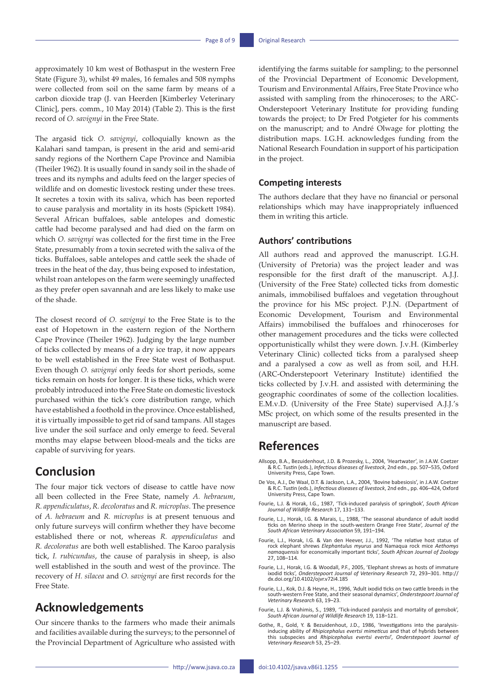approximately 10 km west of Bothasput in the western Free State (Figure 3), whilst 49 males, 16 females and 508 nymphs were collected from soil on the same farm by means of a carbon dioxide trap (J. van Heerden [Kimberley Veterinary Clinic], pers. comm., 10 May 2014) (Table 2). This is the first record of *O. savignyi* in the Free State.

The argasid tick *O. savignyi*, colloquially known as the Kalahari sand tampan, is present in the arid and semi-arid sandy regions of the Northern Cape Province and Namibia (Theiler 1962). It is usually found in sandy soil in the shade of trees and its nymphs and adults feed on the larger species of wildlife and on domestic livestock resting under these trees. It secretes a toxin with its saliva, which has been reported to cause paralysis and mortality in its hosts (Spickett 1984). Several African buffaloes, sable antelopes and domestic cattle had become paralysed and had died on the farm on which *O. savignyi* was collected for the first time in the Free State, presumably from a toxin secreted with the saliva of the ticks. Buffaloes, sable antelopes and cattle seek the shade of trees in the heat of the day, thus being exposed to infestation, whilst roan antelopes on the farm were seemingly unaffected as they prefer open savannah and are less likely to make use of the shade.

The closest record of *O. savignyi* to the Free State is to the east of Hopetown in the eastern region of the Northern Cape Province (Theiler 1962). Judging by the large number of ticks collected by means of a dry ice trap, it now appears to be well established in the Free State west of Bothasput. Even though *O. savignyi* only feeds for short periods, some ticks remain on hosts for longer. It is these ticks, which were probably introduced into the Free State on domestic livestock purchased within the tick's core distribution range, which have established a foothold in the province. Once established, it is virtually impossible to get rid of sand tampans. All stages live under the soil surface and only emerge to feed. Several months may elapse between blood-meals and the ticks are capable of surviving for years.

# **Conclusion**

The four major tick vectors of disease to cattle have now all been collected in the Free State, namely *A. hebraeum*, *R. appendiculatus*, *R. decoloratus* and *R. microplus*. The presence of *A. hebraeum* and *R. microplus* is at present tenuous and only future surveys will confirm whether they have become established there or not, whereas *R. appendiculatus* and *R. decoloratus* are both well established. The Karoo paralysis tick, *I. rubicundus*, the cause of paralysis in sheep, is also well established in the south and west of the province. The recovery of *H. silacea* and *O. savignyi* are first records for the Free State.

# **Acknowledgements**

Our sincere thanks to the farmers who made their animals and facilities available during the surveys; to the personnel of the Provincial Department of Agriculture who assisted with

identifying the farms suitable for sampling; to the personnel of the Provincial Department of Economic Development, Tourism and Environmental Affairs, Free State Province who assisted with sampling from the rhinoceroses; to the ARC-Onderstepoort Veterinary Institute for providing funding towards the project; to Dr Fred Potgieter for his comments on the manuscript; and to André Olwage for plotting the distribution maps. I.G.H. acknowledges funding from the National Research Foundation in support of his participation in the project.

#### **Competing interests**

The authors declare that they have no financial or personal relationships which may have inappropriately influenced them in writing this article.

### **Authors' contributions**

All authors read and approved the manuscript. I.G.H. (University of Pretoria) was the project leader and was responsible for the first draft of the manuscript. A.J.J. (University of the Free State) collected ticks from domestic animals, immobilised buffaloes and vegetation throughout the province for his MSc project. P.J.N. (Department of Economic Development, Tourism and Environmental Affairs) immobilised the buffaloes and rhinoceroses for other management procedures and the ticks were collected opportunistically whilst they were down. J.v.H. (Kimberley Veterinary Clinic) collected ticks from a paralysed sheep and a paralysed a cow as well as from soil, and H.H. (ARC-Onderstepoort Veterinary Institute) identified the ticks collected by J.v.H. and assisted with determining the geographic coordinates of some of the collection localities. E.M.v.D. (University of the Free State) supervised A.J.J.'s MSc project, on which some of the results presented in the manuscript are based.

### **References**

- Allsopp, B.A., Bezuidenhout, J.D. & Prozesky, L., 2004, 'Heartwater', in J.A.W. Coetzer & R.C. Tustin (eds.), *Infectious diseases of livestock*, 2nd edn., pp. 507–535, Oxford University Press, Cape Town.
- De Vos, A.J., De Waal, D.T. & Jackson, L.A., 2004, 'Bovine babesiosis', in J.A.W. Coetzer & R.C. Tustin (eds.), *Infectious diseases of livestock*, 2nd edn., pp. 406–424, Oxford University Press, Cape Town.
- Fourie, L.J. & Horak, I.G., 1987, 'Tick-induced paralysis of springbok', *South African Journal of Wildlife Research* 17, 131–133.
- Fourie, L.J., Horak, I.G. & Marais, L., 1988, 'The seasonal abundance of adult ixodid ticks on Merino sheep in the south-western Orange Free State', *Journal of the South African Veterinary Association* 59, 191–194.
- Fourie, L.J., Horak, I.G. & Van den Heever, J.J., 1992, 'The relative host status of rock elephant shrews *Elephantulus myurus* and Namaqua rock mice *Aethomys namaquensis* for economically important ticks', *South African Journal of Zoology* 27, 108–114.
- Fourie, L.J., Horak, I.G. & Woodall, P.F., 2005, 'Elephant shrews as hosts of immature ixodid ticks', *Onderstepoort Journal of Veterinary Research* 72, 293–301. [http://](http://dx.doi.org/10.4102/ojvr.v72i4.185) [dx.doi.org/10.4102/ojvr.v72i4.185](http://dx.doi.org/10.4102/ojvr.v72i4.185)
- Fourie, L.J., Kok, D.J. & Heyne, H., 1996, 'Adult ixodid ticks on two cattle breeds in the south-western Free State, and their seasonal dynamics', *Onderstepoort Journal of Veterinary Research* 63, 19–23.
- Fourie, L.J. & Vrahimis, S., 1989, 'Tick-induced paralysis and mortality of gemsbok', *South African Journal of Wildlife Research* 19, 118–121.
- Gothe, R., Gold, Y. & Bezuidenhout, J.D., 1986, 'Investigations into the paralysis-inducing ability of *Rhipicephalus evertsi mimeticus* and that of hybrids between this subspecies and *Rhipicephalus evertsi evertsi*', *Onderstepoort Journal of Veterinary Research* 53, 25–29.